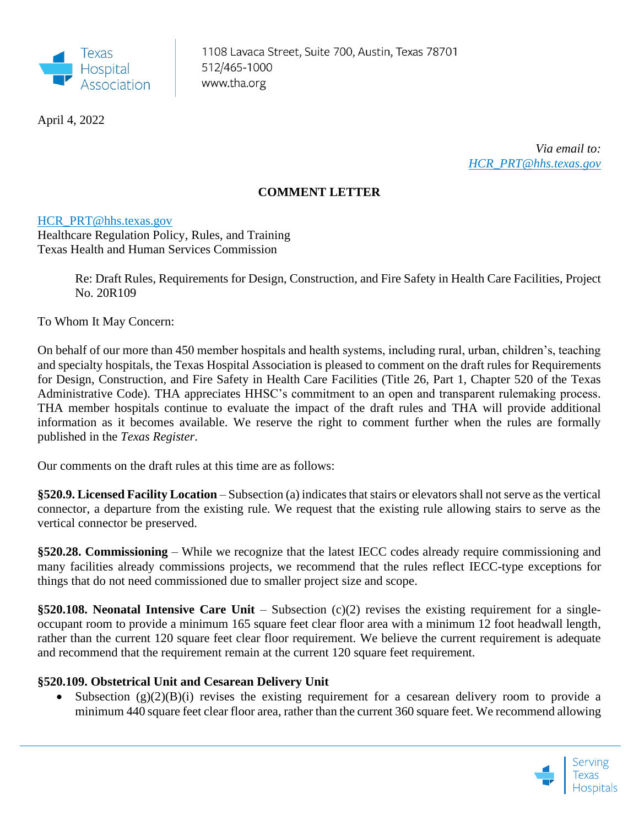

April 4, 2022

*Via email to: [HCR\\_PRT@hhs.texas.gov](mailto:HCR_PRT@hhs.texas.gov)*

## **COMMENT LETTER**

## [HCR\\_PRT@hhs.texas.gov](mailto:HCR_PRT@hhs.texas.gov)

Healthcare Regulation Policy, Rules, and Training Texas Health and Human Services Commission

> Re: Draft Rules, Requirements for Design, Construction, and Fire Safety in Health Care Facilities, Project No. 20R109

To Whom It May Concern:

On behalf of our more than 450 member hospitals and health systems, including rural, urban, children's, teaching and specialty hospitals, the Texas Hospital Association is pleased to comment on the draft rules for Requirements for Design, Construction, and Fire Safety in Health Care Facilities (Title 26, Part 1, Chapter 520 of the Texas Administrative Code). THA appreciates HHSC's commitment to an open and transparent rulemaking process. THA member hospitals continue to evaluate the impact of the draft rules and THA will provide additional information as it becomes available. We reserve the right to comment further when the rules are formally published in the *Texas Register*.

Our comments on the draft rules at this time are as follows:

**§520.9. Licensed Facility Location** – Subsection (a) indicates that stairs or elevators shall not serve as the vertical connector, a departure from the existing rule. We request that the existing rule allowing stairs to serve as the vertical connector be preserved.

**§520.28. Commissioning** – While we recognize that the latest IECC codes already require commissioning and many facilities already commissions projects, we recommend that the rules reflect IECC-type exceptions for things that do not need commissioned due to smaller project size and scope.

**§520.108. Neonatal Intensive Care Unit** – Subsection (c)(2) revises the existing requirement for a singleoccupant room to provide a minimum 165 square feet clear floor area with a minimum 12 foot headwall length, rather than the current 120 square feet clear floor requirement. We believe the current requirement is adequate and recommend that the requirement remain at the current 120 square feet requirement.

## **§520.109. Obstetrical Unit and Cesarean Delivery Unit**

• Subsection  $(g)(2)(B)(i)$  revises the existing requirement for a cesarean delivery room to provide a minimum 440 square feet clear floor area, rather than the current 360 square feet. We recommend allowing

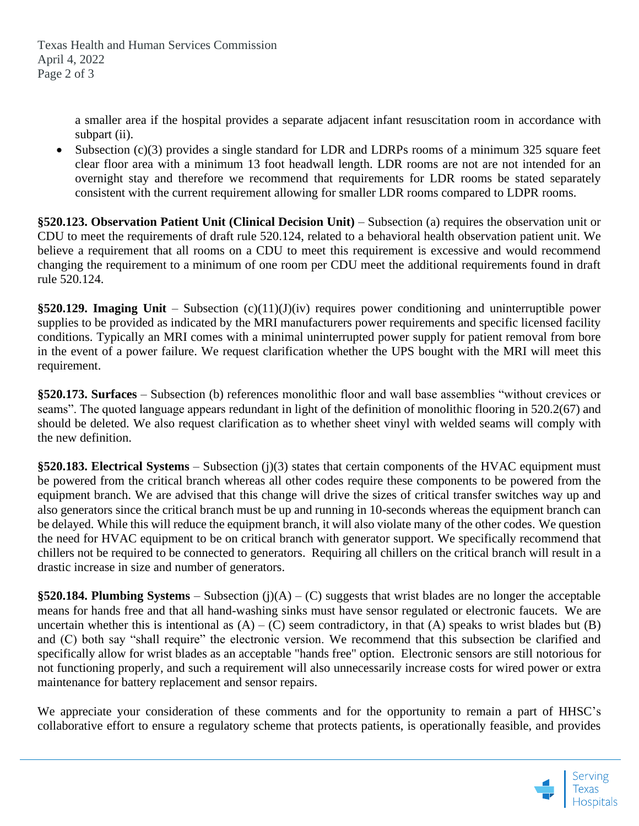a smaller area if the hospital provides a separate adjacent infant resuscitation room in accordance with subpart (ii).

• Subsection (c)(3) provides a single standard for LDR and LDRPs rooms of a minimum 325 square feet clear floor area with a minimum 13 foot headwall length. LDR rooms are not are not intended for an overnight stay and therefore we recommend that requirements for LDR rooms be stated separately consistent with the current requirement allowing for smaller LDR rooms compared to LDPR rooms.

**§520.123. Observation Patient Unit (Clinical Decision Unit)** – Subsection (a) requires the observation unit or CDU to meet the requirements of draft rule 520.124, related to a behavioral health observation patient unit. We believe a requirement that all rooms on a CDU to meet this requirement is excessive and would recommend changing the requirement to a minimum of one room per CDU meet the additional requirements found in draft rule 520.124.

**§520.129. Imaging Unit** – Subsection (c)(11)(J)(iv) requires power conditioning and uninterruptible power supplies to be provided as indicated by the MRI manufacturers power requirements and specific licensed facility conditions. Typically an MRI comes with a minimal uninterrupted power supply for patient removal from bore in the event of a power failure. We request clarification whether the UPS bought with the MRI will meet this requirement.

**§520.173. Surfaces** – Subsection (b) references monolithic floor and wall base assemblies "without crevices or seams". The quoted language appears redundant in light of the definition of monolithic flooring in 520.2(67) and should be deleted. We also request clarification as to whether sheet vinyl with welded seams will comply with the new definition.

**§520.183. Electrical Systems** – Subsection (j)(3) states that certain components of the HVAC equipment must be powered from the critical branch whereas all other codes require these components to be powered from the equipment branch. We are advised that this change will drive the sizes of critical transfer switches way up and also generators since the critical branch must be up and running in 10-seconds whereas the equipment branch can be delayed. While this will reduce the equipment branch, it will also violate many of the other codes. We question the need for HVAC equipment to be on critical branch with generator support. We specifically recommend that chillers not be required to be connected to generators. Requiring all chillers on the critical branch will result in a drastic increase in size and number of generators.

**§520.184. Plumbing Systems** – Subsection (j)(A) – (C) suggests that wrist blades are no longer the acceptable means for hands free and that all hand-washing sinks must have sensor regulated or electronic faucets. We are uncertain whether this is intentional as  $(A) - (C)$  seem contradictory, in that  $(A)$  speaks to wrist blades but  $(B)$ and (C) both say "shall require" the electronic version. We recommend that this subsection be clarified and specifically allow for wrist blades as an acceptable "hands free" option. Electronic sensors are still notorious for not functioning properly, and such a requirement will also unnecessarily increase costs for wired power or extra maintenance for battery replacement and sensor repairs.

We appreciate your consideration of these comments and for the opportunity to remain a part of HHSC's collaborative effort to ensure a regulatory scheme that protects patients, is operationally feasible, and provides